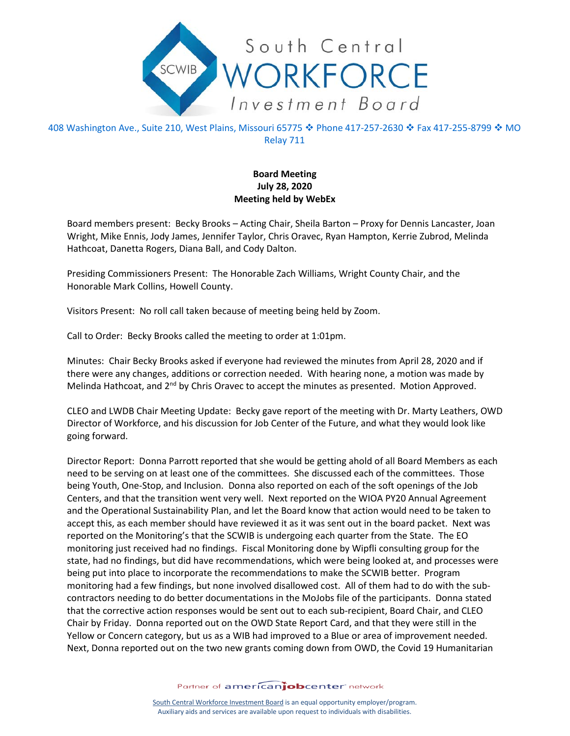

408 Washington Ave., Suite 210, West Plains, Missouri 65775 � Phone 417-257-2630 � Fax 417-255-8799 � MO Relay 711

## **Board Meeting July 28, 2020 Meeting held by WebEx**

Board members present: Becky Brooks – Acting Chair, Sheila Barton – Proxy for Dennis Lancaster, Joan Wright, Mike Ennis, Jody James, Jennifer Taylor, Chris Oravec, Ryan Hampton, Kerrie Zubrod, Melinda Hathcoat, Danetta Rogers, Diana Ball, and Cody Dalton.

Presiding Commissioners Present: The Honorable Zach Williams, Wright County Chair, and the Honorable Mark Collins, Howell County.

Visitors Present: No roll call taken because of meeting being held by Zoom.

Call to Order: Becky Brooks called the meeting to order at 1:01pm.

Minutes: Chair Becky Brooks asked if everyone had reviewed the minutes from April 28, 2020 and if there were any changes, additions or correction needed. With hearing none, a motion was made by Melinda Hathcoat, and 2<sup>nd</sup> by Chris Oravec to accept the minutes as presented. Motion Approved.

CLEO and LWDB Chair Meeting Update: Becky gave report of the meeting with Dr. Marty Leathers, OWD Director of Workforce, and his discussion for Job Center of the Future, and what they would look like going forward.

Director Report: Donna Parrott reported that she would be getting ahold of all Board Members as each need to be serving on at least one of the committees. She discussed each of the committees. Those being Youth, One-Stop, and Inclusion. Donna also reported on each of the soft openings of the Job Centers, and that the transition went very well. Next reported on the WIOA PY20 Annual Agreement and the Operational Sustainability Plan, and let the Board know that action would need to be taken to accept this, as each member should have reviewed it as it was sent out in the board packet. Next was reported on the Monitoring's that the SCWIB is undergoing each quarter from the State. The EO monitoring just received had no findings. Fiscal Monitoring done by Wipfli consulting group for the state, had no findings, but did have recommendations, which were being looked at, and processes were being put into place to incorporate the recommendations to make the SCWIB better. Program monitoring had a few findings, but none involved disallowed cost. All of them had to do with the subcontractors needing to do better documentations in the MoJobs file of the participants. Donna stated that the corrective action responses would be sent out to each sub-recipient, Board Chair, and CLEO Chair by Friday. Donna reported out on the OWD State Report Card, and that they were still in the Yellow or Concern category, but us as a WIB had improved to a Blue or area of improvement needed. Next, Donna reported out on the two new grants coming down from OWD, the Covid 19 Humanitarian

Partner of americanjobcenter network